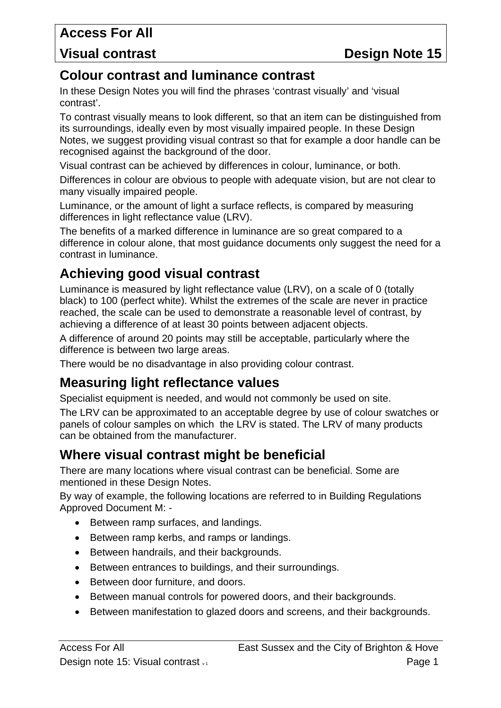## **Visual contrast Contrast Contrast Contrast Contrast Contrast Contrast Contrast Contrast Contrast Contrast Contrast Contrast Contrast Contrast Contrast Contrast Contrast Contrast Contrast Contrast Contrast Contrast Contras**

## **Colour contrast and luminance contrast**

In these Design Notes you will find the phrases 'contrast visually' and 'visual contrast'.

To contrast visually means to look different, so that an item can be distinguished from its surroundings, ideally even by most visually impaired people. In these Design Notes, we suggest providing visual contrast so that for example a door handle can be recognised against the background of the door.

Visual contrast can be achieved by differences in colour, luminance, or both.

Differences in colour are obvious to people with adequate vision, but are not clear to many visually impaired people.

Luminance, or the amount of light a surface reflects, is compared by measuring differences in light reflectance value (LRV).

The benefits of a marked difference in luminance are so great compared to a difference in colour alone, that most guidance documents only suggest the need for a contrast in luminance.

# **Achieving good visual contrast**

Luminance is measured by light reflectance value (LRV), on a scale of 0 (totally black) to 100 (perfect white). Whilst the extremes of the scale are never in practice reached, the scale can be used to demonstrate a reasonable level of contrast, by achieving a difference of at least 30 points between adjacent objects.

A difference of around 20 points may still be acceptable, particularly where the difference is between two large areas.

There would be no disadvantage in also providing colour contrast.

## **Measuring light reflectance values**

Specialist equipment is needed, and would not commonly be used on site.

The LRV can be approximated to an acceptable degree by use of colour swatches or panels of colour samples on which the LRV is stated. The LRV of many products can be obtained from the manufacturer.

# **Where visual contrast might be beneficial**

There are many locations where visual contrast can be beneficial. Some are mentioned in these Design Notes.

By way of example, the following locations are referred to in Building Regulations Approved Document M: -

- Between ramp surfaces, and landings.
- Between ramp kerbs, and ramps or landings.
- Between handrails, and their backgrounds.
- Between entrances to buildings, and their surroundings.
- Between door furniture, and doors.
- Between manual controls for powered doors, and their backgrounds.
- Between manifestation to glazed doors and screens, and their backgrounds.